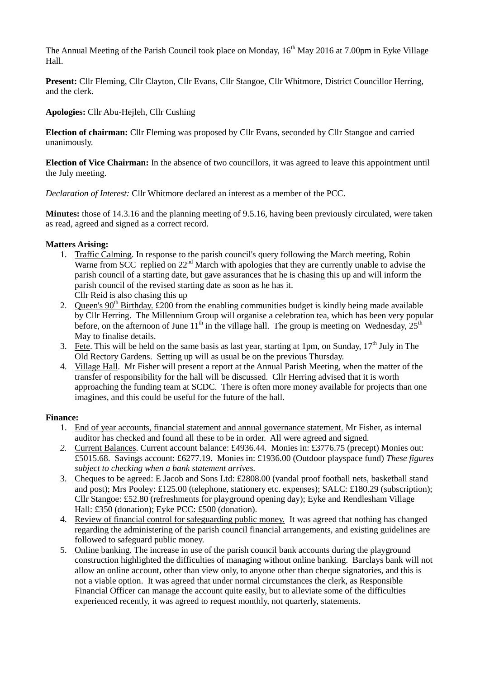The Annual Meeting of the Parish Council took place on Monday, 16<sup>th</sup> May 2016 at 7.00pm in Eyke Village Hall.

**Present:** Cllr Fleming, Cllr Clayton, Cllr Evans, Cllr Stangoe, Cllr Whitmore, District Councillor Herring, and the clerk.

**Apologies:** Cllr Abu-Hejleh, Cllr Cushing

**Election of chairman:** Cllr Fleming was proposed by Cllr Evans, seconded by Cllr Stangoe and carried unanimously.

**Election of Vice Chairman:** In the absence of two councillors, it was agreed to leave this appointment until the July meeting.

*Declaration of Interest:* Cllr Whitmore declared an interest as a member of the PCC.

**Minutes:** those of 14.3.16 and the planning meeting of 9.5.16, having been previously circulated, were taken as read, agreed and signed as a correct record.

## **Matters Arising:**

- 1. Traffic Calming. In response to the parish council's query following the March meeting, Robin Warne from SCC replied on  $22<sup>nd</sup>$  March with apologies that they are currently unable to advise the parish council of a starting date, but gave assurances that he is chasing this up and will inform the parish council of the revised starting date as soon as he has it. Cllr Reid is also chasing this up
- 2. Queen's  $90<sup>th</sup>$  Birthday. £200 from the enabling communities budget is kindly being made available by Cllr Herring. The Millennium Group will organise a celebration tea, which has been very popular before, on the afternoon of June  $11<sup>th</sup>$  in the village hall. The group is meeting on Wednesday,  $25<sup>th</sup>$ May to finalise details.
- 3. Fete. This will be held on the same basis as last year, starting at 1pm, on Sunday,  $17<sup>th</sup>$  July in The Old Rectory Gardens. Setting up will as usual be on the previous Thursday.
- 4. Village Hall. Mr Fisher will present a report at the Annual Parish Meeting, when the matter of the transfer of responsibility for the hall will be discussed. Cllr Herring advised that it is worth approaching the funding team at SCDC. There is often more money available for projects than one imagines, and this could be useful for the future of the hall.

## **Finance:**

- 1. End of year accounts, financial statement and annual governance statement. Mr Fisher, as internal auditor has checked and found all these to be in order. All were agreed and signed.
- *2.* Current Balances. Current account balance: £4936.44. Monies in: £3776.75 (precept) Monies out: £5015.68. Savings account: £6277.19. Monies in: £1936.00 (Outdoor playspace fund) *These figures subject to checking when a bank statement arrives.*
- 3. Cheques to be agreed: E Jacob and Sons Ltd: £2808.00 (vandal proof football nets, basketball stand and post); Mrs Pooley: £125.00 (telephone, stationery etc. expenses); SALC: £180.29 (subscription); Cllr Stangoe: £52.80 (refreshments for playground opening day); Eyke and Rendlesham Village Hall: £350 (donation); Eyke PCC: £500 (donation).
- 4. Review of financial control for safeguarding public money. It was agreed that nothing has changed regarding the administering of the parish council financial arrangements, and existing guidelines are followed to safeguard public money.
- 5. Online banking. The increase in use of the parish council bank accounts during the playground construction highlighted the difficulties of managing without online banking. Barclays bank will not allow an online account, other than view only, to anyone other than cheque signatories, and this is not a viable option. It was agreed that under normal circumstances the clerk, as Responsible Financial Officer can manage the account quite easily, but to alleviate some of the difficulties experienced recently, it was agreed to request monthly, not quarterly, statements.